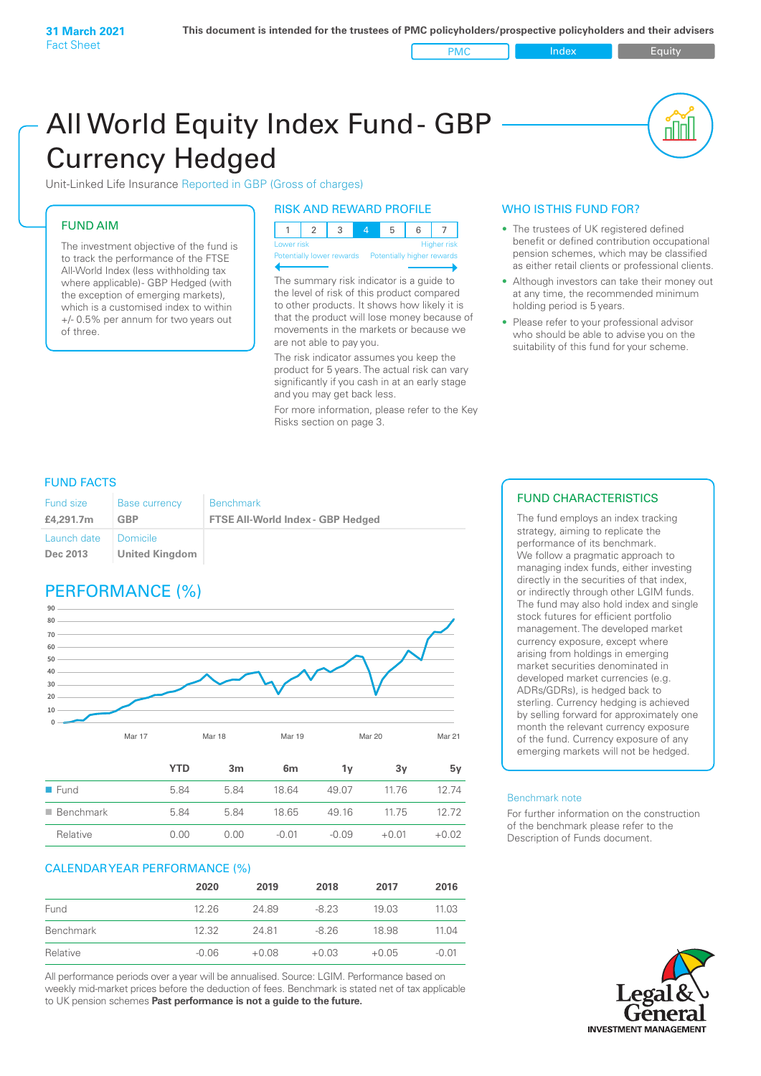PMC Index PMC Equity

# All World Equity Index Fund- GBP Currency Hedged

Unit-Linked Life Insurance Reported in GBP (Gross of charges)

# FUND AIM

The investment objective of the fund is to track the performance of the FTSE All-World Index (less withholding tax where applicable)- GBP Hedged (with the exception of emerging markets), which is a customised index to within +/- 0.5% per annum for two years out of three.

## RISK AND REWARD PROFILE

| Lower risk |  |  | <b>Higher risk</b> |
|------------|--|--|--------------------|

ntially lower rewards

The summary risk indicator is a guide to the level of risk of this product compared to other products. It shows how likely it is that the product will lose money because of movements in the markets or because we are not able to pay you.

The risk indicator assumes you keep the product for 5 years. The actual risk can vary significantly if you cash in at an early stage and you may get back less.

For more information, please refer to the Key Risks section on page 3.

# WHO IS THIS FUND FOR?

- The trustees of UK registered defined benefit or defined contribution occupational pension schemes, which may be classified as either retail clients or professional clients.
- Although investors can take their money out at any time, the recommended minimum holding period is 5 years.
- Please refer to your professional advisor who should be able to advise you on the suitability of this fund for your scheme.

# FUND FACTS

| <b>Fund size</b>                   | <b>Base currency</b> | <b>Benchmark</b>                         |
|------------------------------------|----------------------|------------------------------------------|
| £4,291.7m                          | GBP                  | <b>FTSE All-World Index - GBP Hedged</b> |
| Launch date   Domicile<br>Dec 2013 | United Kingdom       |                                          |

# PERFORMANCE (%)



|                          | YTD  | 3 <sub>m</sub> | 6 <sub>m</sub> | ٦v      | 3v      | 5۷      |
|--------------------------|------|----------------|----------------|---------|---------|---------|
| $\blacksquare$ Fund      | 5.84 | 584            | 18.64          | 49.07   | 11.76   | 12 74   |
| $\blacksquare$ Benchmark | 5.84 | 5.84           | 18.65          | 49.16   | 1175    | 12.72   |
| Relative                 | 0.00 | 0.00           | $-0.01$        | $-0.09$ | $+0.01$ | $+0.02$ |

# CALENDAR YEAR PERFORMANCE (%)

|           | 2020    | 2019    | 2018    | 2017    | 2016    |
|-----------|---------|---------|---------|---------|---------|
| Fund      | 12.26   | 2489    | $-8.23$ | 19.03   | 11.03   |
| Benchmark | 12.32   | 2481    | $-8.26$ | 18.98   | 11 04   |
| Relative  | $-0.06$ | $+0.08$ | $+0.03$ | $+0.05$ | $-0.01$ |

All performance periods over a year will be annualised. Source: LGIM. Performance based on weekly mid-market prices before the deduction of fees. Benchmark is stated net of tax applicable to UK pension schemes **Past performance is not a guide to the future.**

# FUND CHARACTERISTICS

The fund employs an index tracking strategy, aiming to replicate the performance of its benchmark. We follow a pragmatic approach to managing index funds, either investing directly in the securities of that index, or indirectly through other LGIM funds. The fund may also hold index and single stock futures for efficient portfolio management. The developed market currency exposure, except where arising from holdings in emerging market securities denominated in developed market currencies (e.g. ADRs/GDRs), is hedged back to sterling. Currency hedging is achieved by selling forward for approximately one month the relevant currency exposure of the fund. Currency exposure of any emerging markets will not be hedged.

### Benchmark note

For further information on the construction of the benchmark please refer to the Description of Funds document.

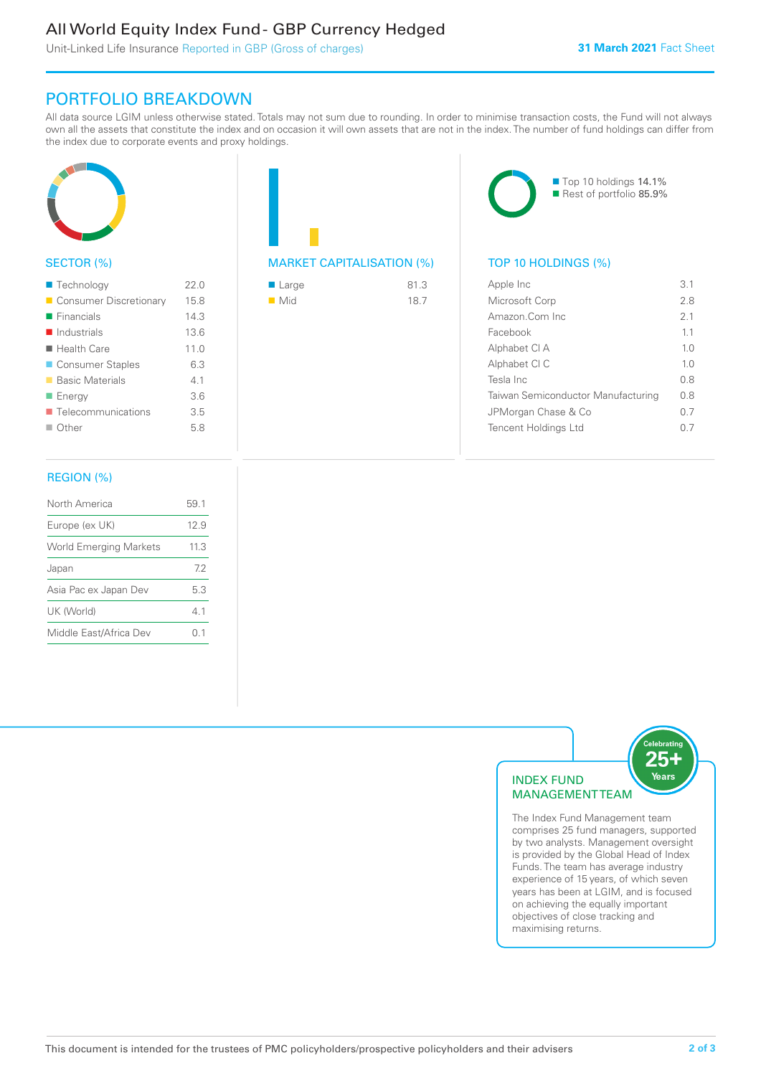# All World Equity Index Fund - GBP Currency Hedged

Unit-Linked Life Insurance Reported in GBP (Gross of charges)

# PORTFOLIO BREAKDOWN

All data source LGIM unless otherwise stated. Totals may not sum due to rounding. In order to minimise transaction costs, the Fund will not always own all the assets that constitute the index and on occasion it will own assets that are not in the index. The number of fund holdings can differ from the index due to corporate events and proxy holdings.



# SECTOR (%)

| ■ Technology               | 22.0 |
|----------------------------|------|
| Consumer Discretionary     | 15.8 |
| $\blacksquare$ Financials  | 14.3 |
| $\blacksquare$ Industrials | 13.6 |
| ■ Health Care              | 11.0 |
| ■ Consumer Staples         | 6.3  |
| ■ Basic Materials          | 41   |
| ■ Energy                   | 3.6  |
| ■ Telecommunications       | 3.5  |
| $\blacksquare$ Other       | 5.8  |
|                            |      |

# MARKET CAPITALISATION (%) TOP 10 HOLDINGS (%)

| ■ Large            | 81.3 |
|--------------------|------|
| $\blacksquare$ Mid | 18.7 |



Rest of portfolio 85.9%

| Apple Inc                          | 3.1            |
|------------------------------------|----------------|
| Microsoft Corp                     | 28             |
| Amazon Com Inc.                    | 21             |
| Facebook                           | 11             |
| Alphabet CI A                      | 1 <sub>0</sub> |
| Alphabet CI C                      | 1 <sub>0</sub> |
| Tesla Inc                          | 0 S            |
| Taiwan Semiconductor Manufacturing | 0 S            |
| JPMorgan Chase & Co                | 0.7            |
| <b>Tencent Holdings Ltd</b>        |                |

# REGION (%)

| North America                 | 59.1 |
|-------------------------------|------|
| Europe (ex UK)                | 12.9 |
| <b>World Emerging Markets</b> | 11.3 |
| Japan                         | 72   |
| Asia Pac ex Japan Dev         | 5.3  |
| UK (World)                    | 41   |
| Middle East/Africa Dev        | 01   |
|                               |      |



The Index Fund Management team comprises 25 fund managers, supported by two analysts. Management oversight is provided by the Global Head of Index Funds. The team has average industry experience of 15 years, of which seven years has been at LGIM, and is focused on achieving the equally important objectives of close tracking and maximising returns.